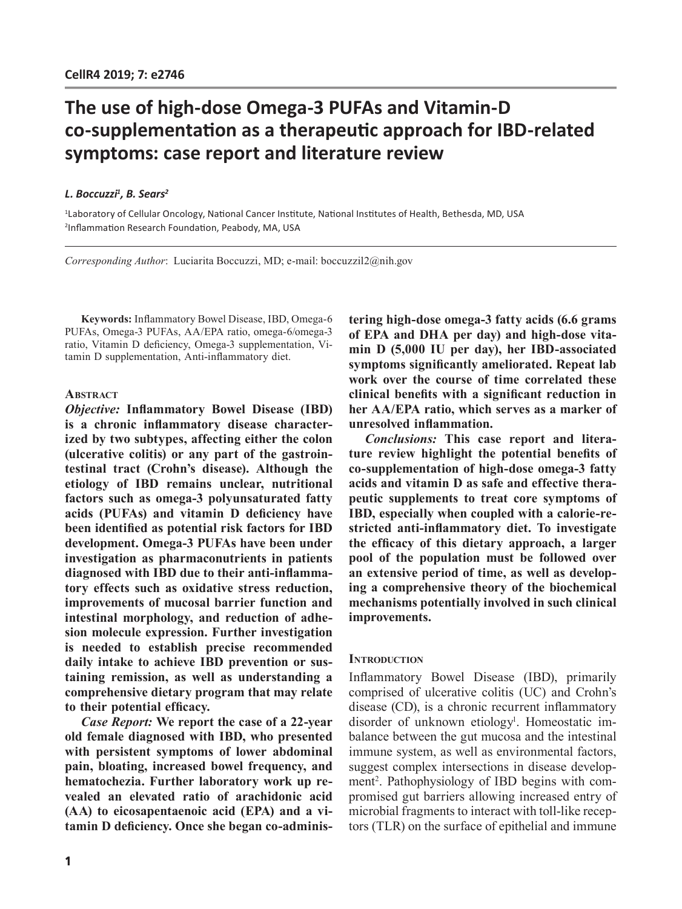# **The use of high-dose Omega-3 PUFAs and Vitamin-D co-supplementation as a therapeutic approach for IBD-related symptoms: case report and literature review**

## *L. Boccuzzi1 , B. Sears2*

1 Laboratory of Cellular Oncology, National Cancer Institute, National Institutes of Health, Bethesda, MD, USA 2 Inflammation Research Foundation, Peabody, MA, USA

*Corresponding Author*: Luciarita Boccuzzi, MD; e-mail: boccuzzil2@nih.gov

**Keywords:** Inflammatory Bowel Disease, IBD, Omega-6 PUFAs, Omega-3 PUFAs, AA/EPA ratio, omega-6/omega-3 ratio, Vitamin D deficiency, Omega-3 supplementation, Vitamin D supplementation, Anti-inflammatory diet.

## **ABSTRACT**

*Objective:* **Inflammatory Bowel Disease (IBD) is a chronic inflammatory disease characterized by two subtypes, affecting either the colon (ulcerative colitis) or any part of the gastrointestinal tract (Crohn's disease). Although the etiology of IBD remains unclear, nutritional factors such as omega-3 polyunsaturated fatty acids (PUFAs) and vitamin D deficiency have been identified as potential risk factors for IBD development. Omega-3 PUFAs have been under investigation as pharmaconutrients in patients diagnosed with IBD due to their anti-inflammatory effects such as oxidative stress reduction, improvements of mucosal barrier function and intestinal morphology, and reduction of adhesion molecule expression. Further investigation is needed to establish precise recommended daily intake to achieve IBD prevention or sustaining remission, as well as understanding a comprehensive dietary program that may relate to their potential efficacy.**

*Case Report:* **We report the case of a 22-year old female diagnosed with IBD, who presented with persistent symptoms of lower abdominal pain, bloating, increased bowel frequency, and hematochezia. Further laboratory work up revealed an elevated ratio of arachidonic acid (AA) to eicosapentaenoic acid (EPA) and a vitamin D deficiency. Once she began co-adminis-** **tering high-dose omega-3 fatty acids (6.6 grams of EPA and DHA per day) and high-dose vitamin D (5,000 IU per day), her IBD-associated symptoms significantly ameliorated. Repeat lab work over the course of time correlated these clinical benefits with a significant reduction in her AA/EPA ratio, which serves as a marker of unresolved inflammation.**

*Conclusions:* **This case report and literature review highlight the potential benefits of co-supplementation of high-dose omega-3 fatty acids and vitamin D as safe and effective therapeutic supplements to treat core symptoms of IBD, especially when coupled with a calorie-restricted anti-inflammatory diet. To investigate the efficacy of this dietary approach, a larger pool of the population must be followed over an extensive period of time, as well as developing a comprehensive theory of the biochemical mechanisms potentially involved in such clinical improvements.**

### **INTRODUCTION**

Inflammatory Bowel Disease (IBD), primarily comprised of ulcerative colitis (UC) and Crohn's disease (CD), is a chronic recurrent inflammatory disorder of unknown etiology<sup>1</sup>. Homeostatic imbalance between the gut mucosa and the intestinal immune system, as well as environmental factors, suggest complex intersections in disease development<sup>2</sup>. Pathophysiology of IBD begins with compromised gut barriers allowing increased entry of microbial fragments to interact with toll-like receptors (TLR) on the surface of epithelial and immune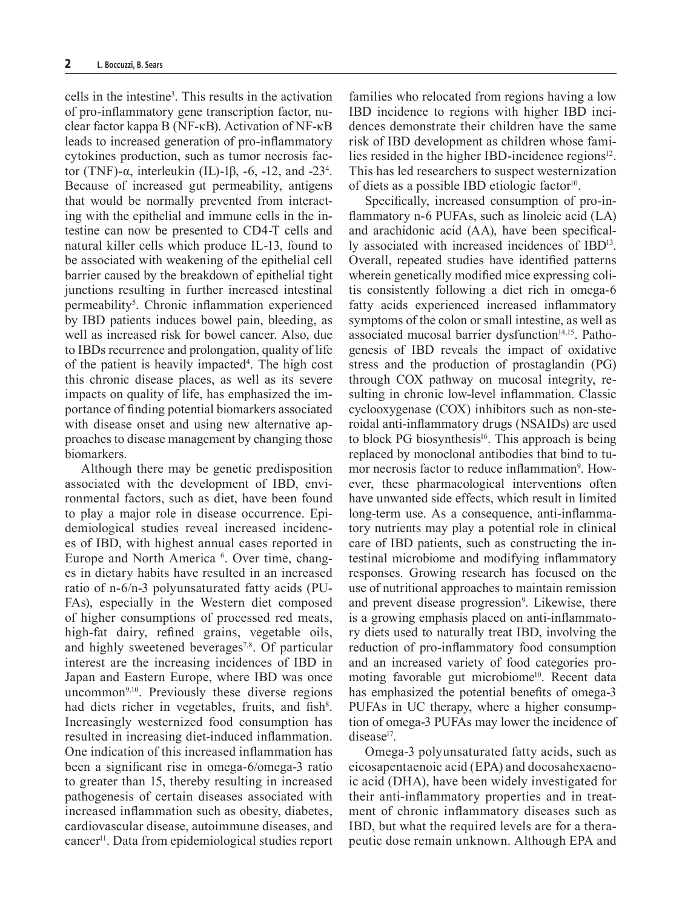cells in the intestine3 . This results in the activation of pro-inflammatory gene transcription factor, nuclear factor kappa B (NF-κB). Activation of NF-κB leads to increased generation of pro-inflammatory cytokines production, such as tumor necrosis factor (TNF)-α, interleukin (IL)-1β, -6, -12, and -23<sup>4</sup>. Because of increased gut permeability, antigens that would be normally prevented from interacting with the epithelial and immune cells in the intestine can now be presented to CD4-T cells and natural killer cells which produce IL-13, found to be associated with weakening of the epithelial cell barrier caused by the breakdown of epithelial tight junctions resulting in further increased intestinal permeability<sup>5</sup>. Chronic inflammation experienced by IBD patients induces bowel pain, bleeding, as well as increased risk for bowel cancer. Also, due to IBDs recurrence and prolongation, quality of life of the patient is heavily impacted<sup>4</sup>. The high cost this chronic disease places, as well as its severe impacts on quality of life, has emphasized the importance of finding potential biomarkers associated with disease onset and using new alternative approaches to disease management by changing those biomarkers.

Although there may be genetic predisposition associated with the development of IBD, environmental factors, such as diet, have been found to play a major role in disease occurrence. Epidemiological studies reveal increased incidences of IBD, with highest annual cases reported in Europe and North America <sup>6</sup>. Over time, changes in dietary habits have resulted in an increased ratio of n-6/n-3 polyunsaturated fatty acids (PU-FAs), especially in the Western diet composed of higher consumptions of processed red meats, high-fat dairy, refined grains, vegetable oils, and highly sweetened beverages<sup>7,8</sup>. Of particular interest are the increasing incidences of IBD in Japan and Eastern Europe, where IBD was once uncommon $9,10$ . Previously these diverse regions had diets richer in vegetables, fruits, and fish<sup>8</sup>. Increasingly westernized food consumption has resulted in increasing diet-induced inflammation. One indication of this increased inflammation has been a significant rise in omega-6/omega-3 ratio to greater than 15, thereby resulting in increased pathogenesis of certain diseases associated with increased inflammation such as obesity, diabetes, cardiovascular disease, autoimmune diseases, and cancer11. Data from epidemiological studies report

families who relocated from regions having a low IBD incidence to regions with higher IBD incidences demonstrate their children have the same risk of IBD development as children whose families resided in the higher IBD-incidence regions $12$ . This has led researchers to suspect westernization of diets as a possible IBD etiologic factor $10$ .

Specifically, increased consumption of pro-inflammatory n-6 PUFAs, such as linoleic acid (LA) and arachidonic acid (AA), have been specifically associated with increased incidences of IBD13. Overall, repeated studies have identified patterns wherein genetically modified mice expressing colitis consistently following a diet rich in omega-6 fatty acids experienced increased inflammatory symptoms of the colon or small intestine, as well as associated mucosal barrier dysfunction<sup>14,15</sup>. Pathogenesis of IBD reveals the impact of oxidative stress and the production of prostaglandin (PG) through COX pathway on mucosal integrity, resulting in chronic low-level inflammation. Classic cyclooxygenase (COX) inhibitors such as non-steroidal anti-inflammatory drugs (NSAIDs) are used to block PG biosynthesis<sup>16</sup>. This approach is being replaced by monoclonal antibodies that bind to tumor necrosis factor to reduce inflammation<sup>9</sup>. However, these pharmacological interventions often have unwanted side effects, which result in limited long-term use. As a consequence, anti-inflammatory nutrients may play a potential role in clinical care of IBD patients, such as constructing the intestinal microbiome and modifying inflammatory responses. Growing research has focused on the use of nutritional approaches to maintain remission and prevent disease progression<sup>9</sup>. Likewise, there is a growing emphasis placed on anti-inflammatory diets used to naturally treat IBD, involving the reduction of pro-inflammatory food consumption and an increased variety of food categories promoting favorable gut microbiome<sup>10</sup>. Recent data has emphasized the potential benefits of omega-3 PUFAs in UC therapy, where a higher consumption of omega-3 PUFAs may lower the incidence of disease<sup>17</sup>.

Omega-3 polyunsaturated fatty acids, such as eicosapentaenoic acid (EPA) and docosahexaenoic acid (DHA), have been widely investigated for their anti-inflammatory properties and in treatment of chronic inflammatory diseases such as IBD, but what the required levels are for a therapeutic dose remain unknown. Although EPA and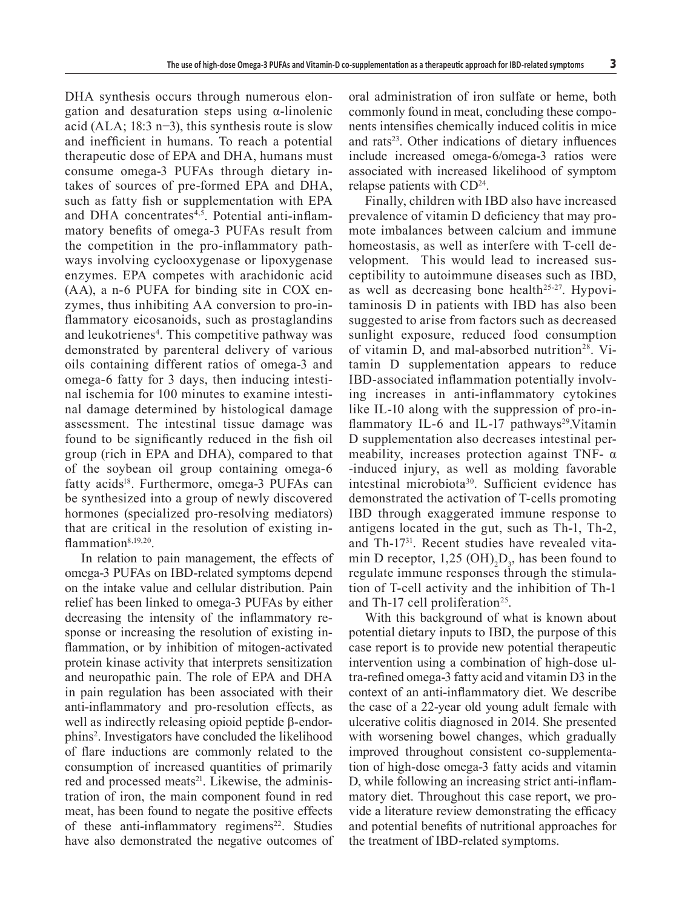DHA synthesis occurs through numerous elongation and desaturation steps using α-linolenic acid (ALA; 18:3 n−3), this synthesis route is slow and inefficient in humans. To reach a potential therapeutic dose of EPA and DHA, humans must consume omega-3 PUFAs through dietary intakes of sources of pre-formed EPA and DHA, such as fatty fish or supplementation with EPA and DHA concentrates<sup>4,5</sup>. Potential anti-inflammatory benefits of omega-3 PUFAs result from the competition in the pro-inflammatory pathways involving cyclooxygenase or lipoxygenase enzymes. EPA competes with arachidonic acid (AA), a n-6 PUFA for binding site in COX enzymes, thus inhibiting AA conversion to pro-inflammatory eicosanoids, such as prostaglandins and leukotrienes<sup>4</sup>. This competitive pathway was demonstrated by parenteral delivery of various oils containing different ratios of omega-3 and omega-6 fatty for 3 days, then inducing intestinal ischemia for 100 minutes to examine intestinal damage determined by histological damage assessment. The intestinal tissue damage was found to be significantly reduced in the fish oil group (rich in EPA and DHA), compared to that of the soybean oil group containing omega-6 fatty acids<sup>18</sup>. Furthermore, omega-3 PUFAs can be synthesized into a group of newly discovered hormones (specialized pro-resolving mediators) that are critical in the resolution of existing inflammation $8,19,20$ .

In relation to pain management, the effects of omega-3 PUFAs on IBD-related symptoms depend on the intake value and cellular distribution. Pain relief has been linked to omega-3 PUFAs by either decreasing the intensity of the inflammatory response or increasing the resolution of existing inflammation, or by inhibition of mitogen-activated protein kinase activity that interprets sensitization and neuropathic pain. The role of EPA and DHA in pain regulation has been associated with their anti-inflammatory and pro-resolution effects, as well as indirectly releasing opioid peptide β-endorphins<sup>2</sup> . Investigators have concluded the likelihood of flare inductions are commonly related to the consumption of increased quantities of primarily red and processed meats<sup>21</sup>. Likewise, the administration of iron, the main component found in red meat, has been found to negate the positive effects of these anti-inflammatory regimens<sup>22</sup>. Studies have also demonstrated the negative outcomes of

oral administration of iron sulfate or heme, both commonly found in meat, concluding these components intensifies chemically induced colitis in mice and rats<sup>23</sup>. Other indications of dietary influences include increased omega-6/omega-3 ratios were associated with increased likelihood of symptom relapse patients with  $CD<sup>24</sup>$ .

Finally, children with IBD also have increased prevalence of vitamin D deficiency that may promote imbalances between calcium and immune homeostasis, as well as interfere with T-cell development. This would lead to increased susceptibility to autoimmune diseases such as IBD, as well as decreasing bone health<sup>25-27</sup>. Hypovitaminosis D in patients with IBD has also been suggested to arise from factors such as decreased sunlight exposure, reduced food consumption of vitamin D, and mal-absorbed nutrition<sup>28</sup>. Vitamin D supplementation appears to reduce IBD-associated inflammation potentially involving increases in anti-inflammatory cytokines like IL-10 along with the suppression of pro-inflammatory IL-6 and IL-17 pathways<sup>29</sup>. Vitamin D supplementation also decreases intestinal permeability, increases protection against TNF- α -induced injury, as well as molding favorable intestinal microbiota30. Sufficient evidence has demonstrated the activation of T-cells promoting IBD through exaggerated immune response to antigens located in the gut, such as Th-1, Th-2, and Th-1731. Recent studies have revealed vitamin D receptor,  $1,25 \text{ (OH)}_2\text{D}_3$ , has been found to regulate immune responses through the stimulation of T-cell activity and the inhibition of Th-1 and Th-17 cell proliferation<sup>25</sup>.

With this background of what is known about potential dietary inputs to IBD, the purpose of this case report is to provide new potential therapeutic intervention using a combination of high-dose ultra-refined omega-3 fatty acid and vitamin D3 in the context of an anti-inflammatory diet. We describe the case of a 22-year old young adult female with ulcerative colitis diagnosed in 2014. She presented with worsening bowel changes, which gradually improved throughout consistent co-supplementation of high-dose omega-3 fatty acids and vitamin D, while following an increasing strict anti-inflammatory diet. Throughout this case report, we provide a literature review demonstrating the efficacy and potential benefits of nutritional approaches for the treatment of IBD-related symptoms.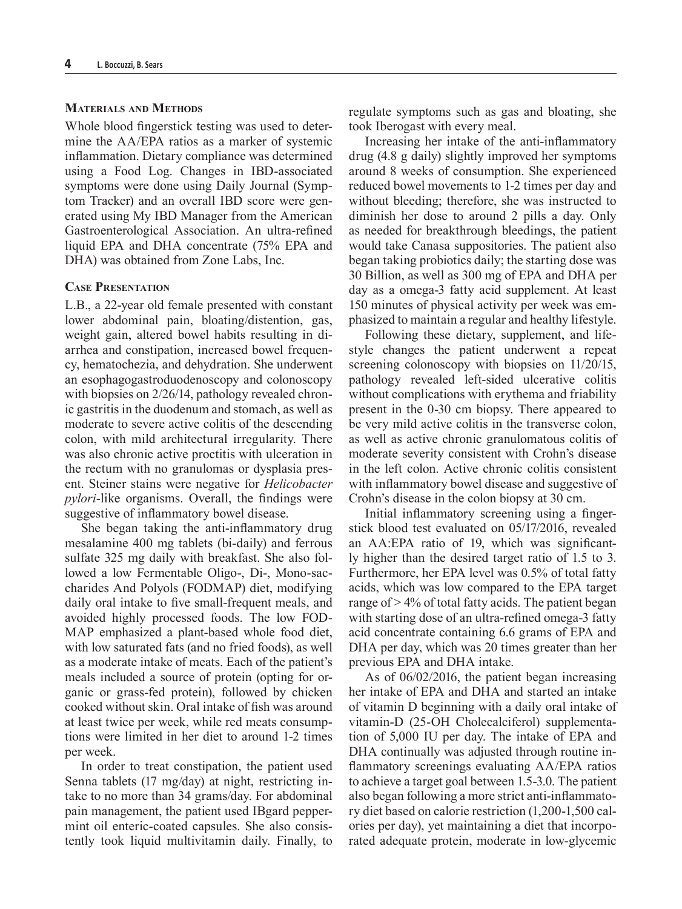## **Materials and Methods**

Whole blood fingerstick testing was used to determine the AA/EPA ratios as a marker of systemic inflammation. Dietary compliance was determined using a Food Log. Changes in IBD-associated symptoms were done using Daily Journal (Symptom Tracker) and an overall IBD score were generated using My IBD Manager from the American Gastroenterological Association. An ultra-refined liquid EPA and DHA concentrate (75% EPA and DHA) was obtained from Zone Labs, Inc.

## **Case Presentation**

L.B., a 22-year old female presented with constant lower abdominal pain, bloating/distention, gas, weight gain, altered bowel habits resulting in diarrhea and constipation, increased bowel frequency, hematochezia, and dehydration. She underwent an esophagogastroduodenoscopy and colonoscopy with biopsies on 2/26/14, pathology revealed chronic gastritis in the duodenum and stomach, as well as moderate to severe active colitis of the descending colon, with mild architectural irregularity. There was also chronic active proctitis with ulceration in the rectum with no granulomas or dysplasia present. Steiner stains were negative for *Helicobacter pylori*-like organisms. Overall, the findings were suggestive of inflammatory bowel disease.

She began taking the anti-inflammatory drug mesalamine 400 mg tablets (bi-daily) and ferrous sulfate 325 mg daily with breakfast. She also followed a low Fermentable Oligo-, Di-, Mono-saccharides And Polyols (FODMAP) diet, modifying daily oral intake to five small-frequent meals, and avoided highly processed foods. The low FOD-MAP emphasized a plant-based whole food diet, with low saturated fats (and no fried foods), as well as a moderate intake of meats. Each of the patient's meals included a source of protein (opting for organic or grass-fed protein), followed by chicken cooked without skin. Oral intake of fish was around at least twice per week, while red meats consumptions were limited in her diet to around 1-2 times per week.

In order to treat constipation, the patient used Senna tablets (17 mg/day) at night, restricting intake to no more than 34 grams/day. For abdominal pain management, the patient used IBgard peppermint oil enteric-coated capsules. She also consistently took liquid multivitamin daily. Finally, to regulate symptoms such as gas and bloating, she took Iberogast with every meal.

Increasing her intake of the anti-inflammatory drug (4.8 g daily) slightly improved her symptoms around 8 weeks of consumption. She experienced reduced bowel movements to 1-2 times per day and without bleeding; therefore, she was instructed to diminish her dose to around 2 pills a day. Only as needed for breakthrough bleedings, the patient would take Canasa suppositories. The patient also began taking probiotics daily; the starting dose was 30 Billion, as well as 300 mg of EPA and DHA per day as a omega-3 fatty acid supplement. At least 150 minutes of physical activity per week was emphasized to maintain a regular and healthy lifestyle.

Following these dietary, supplement, and lifestyle changes the patient underwent a repeat screening colonoscopy with biopsies on 11/20/15, pathology revealed left-sided ulcerative colitis without complications with erythema and friability present in the 0-30 cm biopsy. There appeared to be very mild active colitis in the transverse colon, as well as active chronic granulomatous colitis of moderate severity consistent with Crohn's disease in the left colon. Active chronic colitis consistent with inflammatory bowel disease and suggestive of Crohn's disease in the colon biopsy at 30 cm.

Initial inflammatory screening using a fingerstick blood test evaluated on 05/17/2016, revealed an AA:EPA ratio of 19, which was significantly higher than the desired target ratio of 1.5 to 3. Furthermore, her EPA level was 0.5% of total fatty acids, which was low compared to the EPA target range of  $> 4\%$  of total fatty acids. The patient began with starting dose of an ultra-refined omega-3 fatty acid concentrate containing 6.6 grams of EPA and DHA per day, which was 20 times greater than her previous EPA and DHA intake.

As of 06/02/2016, the patient began increasing her intake of EPA and DHA and started an intake of vitamin D beginning with a daily oral intake of vitamin-D (25-OH Cholecalciferol) supplementation of 5,000 IU per day. The intake of EPA and DHA continually was adjusted through routine inflammatory screenings evaluating AA/EPA ratios to achieve a target goal between 1.5-3.0. The patient also began following a more strict anti-inflammatory diet based on calorie restriction (1,200-1,500 calories per day), yet maintaining a diet that incorporated adequate protein, moderate in low-glycemic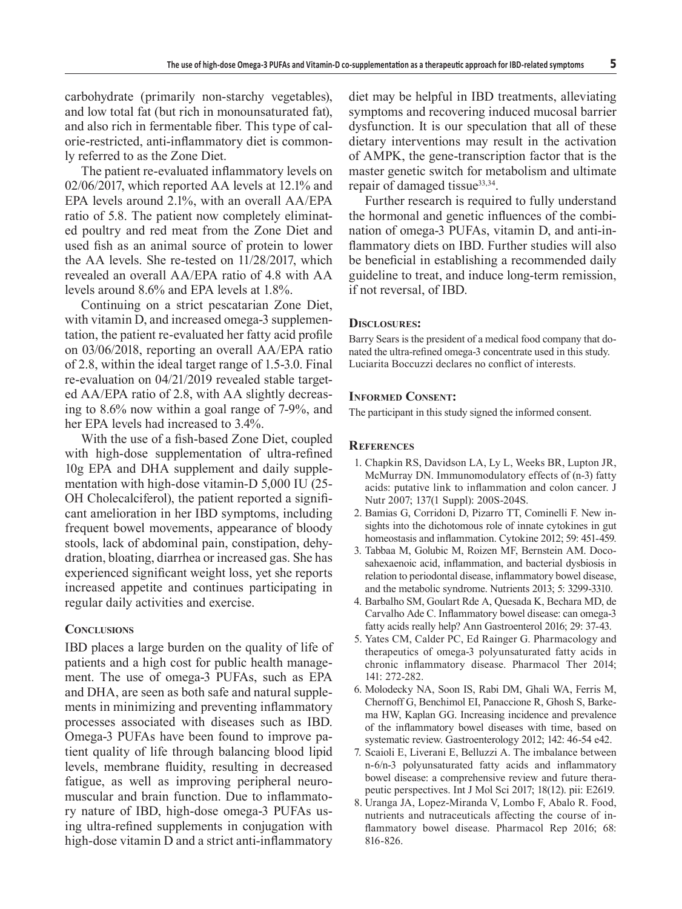carbohydrate (primarily non-starchy vegetables), and low total fat (but rich in monounsaturated fat), and also rich in fermentable fiber. This type of calorie-restricted, anti-inflammatory diet is commonly referred to as the Zone Diet.

The patient re-evaluated inflammatory levels on 02/06/2017, which reported AA levels at 12.1% and EPA levels around 2.1%, with an overall AA/EPA ratio of 5.8. The patient now completely eliminated poultry and red meat from the Zone Diet and used fish as an animal source of protein to lower the AA levels. She re-tested on 11/28/2017, which revealed an overall AA/EPA ratio of 4.8 with AA levels around 8.6% and EPA levels at 1.8%.

Continuing on a strict pescatarian Zone Diet, with vitamin D, and increased omega-3 supplementation, the patient re-evaluated her fatty acid profile on 03/06/2018, reporting an overall AA/EPA ratio of 2.8, within the ideal target range of 1.5-3.0. Final re-evaluation on 04/21/2019 revealed stable targeted AA/EPA ratio of 2.8, with AA slightly decreasing to 8.6% now within a goal range of 7-9%, and her EPA levels had increased to 3.4%.

With the use of a fish-based Zone Diet, coupled with high-dose supplementation of ultra-refined 10g EPA and DHA supplement and daily supplementation with high-dose vitamin-D 5,000 IU (25- OH Cholecalciferol), the patient reported a significant amelioration in her IBD symptoms, including frequent bowel movements, appearance of bloody stools, lack of abdominal pain, constipation, dehydration, bloating, diarrhea or increased gas. She has experienced significant weight loss, yet she reports increased appetite and continues participating in regular daily activities and exercise.

### **Conclusions**

IBD places a large burden on the quality of life of patients and a high cost for public health management. The use of omega-3 PUFAs, such as EPA and DHA, are seen as both safe and natural supplements in minimizing and preventing inflammatory processes associated with diseases such as IBD. Omega-3 PUFAs have been found to improve patient quality of life through balancing blood lipid levels, membrane fluidity, resulting in decreased fatigue, as well as improving peripheral neuromuscular and brain function. Due to inflammatory nature of IBD, high-dose omega-3 PUFAs using ultra-refined supplements in conjugation with high-dose vitamin D and a strict anti-inflammatory

diet may be helpful in IBD treatments, alleviating symptoms and recovering induced mucosal barrier dysfunction. It is our speculation that all of these dietary interventions may result in the activation of AMPK, the gene-transcription factor that is the master genetic switch for metabolism and ultimate repair of damaged tissue<sup>33,34</sup>.

Further research is required to fully understand the hormonal and genetic influences of the combination of omega-3 PUFAs, vitamin D, and anti-inflammatory diets on IBD. Further studies will also be beneficial in establishing a recommended daily guideline to treat, and induce long-term remission, if not reversal, of IBD.

### **Disclosures:**

Barry Sears is the president of a medical food company that donated the ultra-refined omega-3 concentrate used in this study. Luciarita Boccuzzi declares no conflict of interests.

#### **Informed Consent:**

The participant in this study signed the informed consent.

## **References**

- 1. Chapkin RS, Davidson LA, Ly L, Weeks BR, Lupton JR, McMurray DN. Immunomodulatory effects of (n-3) fatty acids: putative link to inflammation and colon cancer. J Nutr 2007; 137(1 Suppl): 200S-204S.
- 2. Bamias G, Corridoni D, Pizarro TT, Cominelli F. New insights into the dichotomous role of innate cytokines in gut homeostasis and inflammation. Cytokine 2012; 59: 451-459.
- 3. Tabbaa M, Golubic M, Roizen MF, Bernstein AM. Docosahexaenoic acid, inflammation, and bacterial dysbiosis in relation to periodontal disease, inflammatory bowel disease, and the metabolic syndrome. Nutrients 2013; 5: 3299-3310.
- 4. Barbalho SM, Goulart Rde A, Quesada K, Bechara MD, de Carvalho Ade C. Inflammatory bowel disease: can omega-3 fatty acids really help? Ann Gastroenterol 2016; 29: 37-43.
- 5. Yates CM, Calder PC, Ed Rainger G. Pharmacology and therapeutics of omega-3 polyunsaturated fatty acids in chronic inflammatory disease. Pharmacol Ther 2014; 141: 272-282.
- 6. Molodecky NA, Soon IS, Rabi DM, Ghali WA, Ferris M, Chernoff G, Benchimol EI, Panaccione R, Ghosh S, Barkema HW, Kaplan GG. Increasing incidence and prevalence of the inflammatory bowel diseases with time, based on systematic review. Gastroenterology 2012; 142: 46-54 e42.
- 7. Scaioli E, Liverani E, Belluzzi A. The imbalance between n-6/n-3 polyunsaturated fatty acids and inflammatory bowel disease: a comprehensive review and future therapeutic perspectives. Int J Mol Sci 2017; 18(12). pii: E2619.
- 8. Uranga JA, Lopez-Miranda V, Lombo F, Abalo R. Food, nutrients and nutraceuticals affecting the course of inflammatory bowel disease. Pharmacol Rep 2016; 68: 816-826.